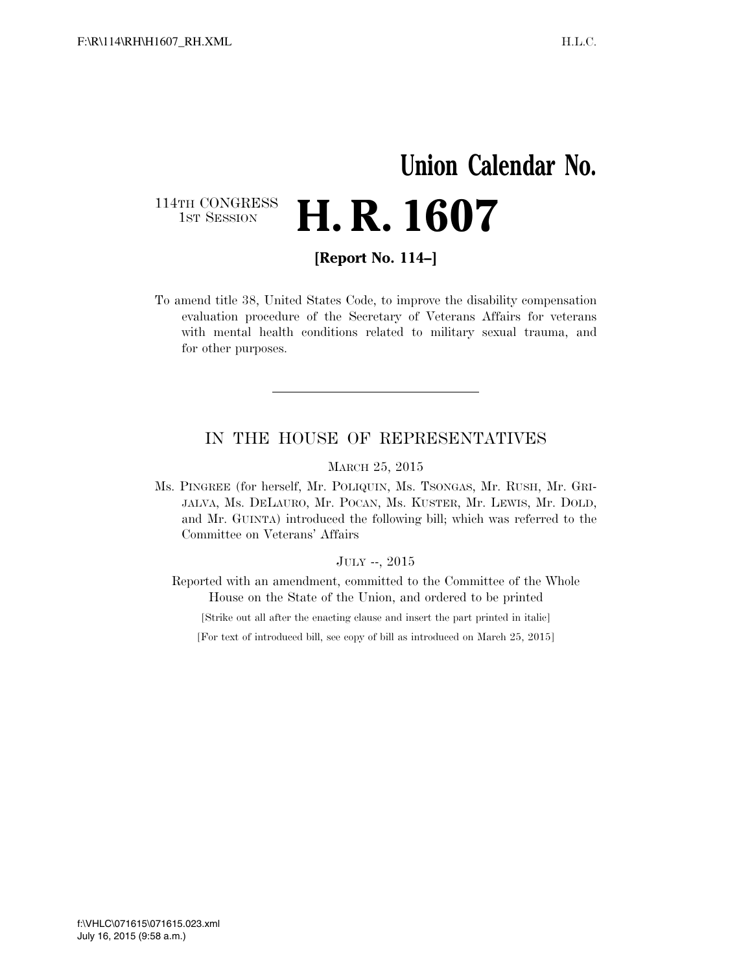## **Union Calendar No.**  114TH CONGRESS<br>1st Session **H. R. 1607**

**[Report No. 114–]** 

To amend title 38, United States Code, to improve the disability compensation evaluation procedure of the Secretary of Veterans Affairs for veterans with mental health conditions related to military sexual trauma, and for other purposes.

## IN THE HOUSE OF REPRESENTATIVES

MARCH 25, 2015

Ms. PINGREE (for herself, Mr. POLIQUIN, Ms. TSONGAS, Mr. RUSH, Mr. GRI-JALVA, Ms. DELAURO, Mr. POCAN, Ms. KUSTER, Mr. LEWIS, Mr. DOLD, and Mr. GUINTA) introduced the following bill; which was referred to the Committee on Veterans' Affairs

## JULY --, 2015

Reported with an amendment, committed to the Committee of the Whole House on the State of the Union, and ordered to be printed

[Strike out all after the enacting clause and insert the part printed in italic]

[For text of introduced bill, see copy of bill as introduced on March 25, 2015]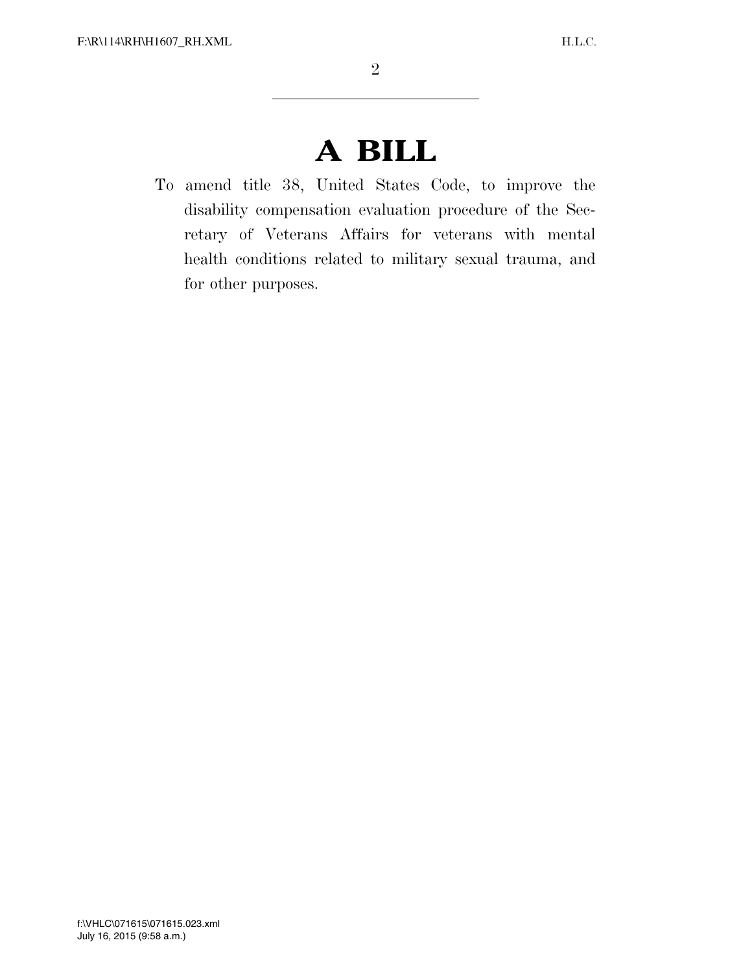## **A BILL**

To amend title 38, United States Code, to improve the disability compensation evaluation procedure of the Secretary of Veterans Affairs for veterans with mental health conditions related to military sexual trauma, and for other purposes.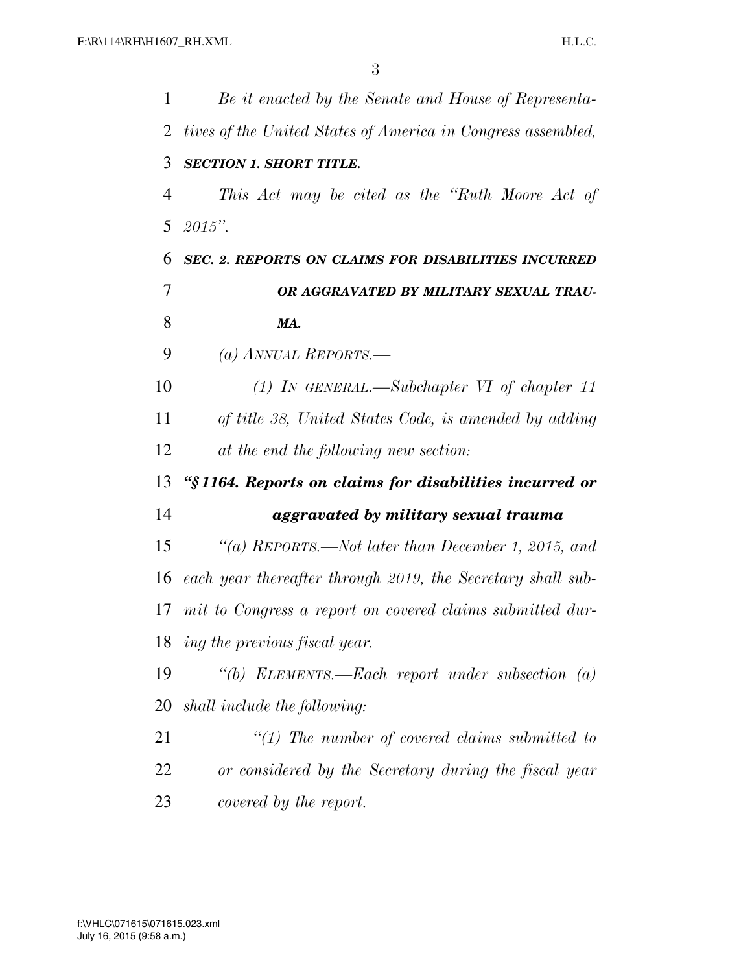| 1  | Be it enacted by the Senate and House of Representa-         |
|----|--------------------------------------------------------------|
| 2  | tives of the United States of America in Congress assembled, |
| 3  | <b>SECTION 1. SHORT TITLE.</b>                               |
| 4  | This Act may be cited as the "Ruth Moore Act of              |
| 5  | $2015"$ .                                                    |
| 6  | <b>SEC. 2. REPORTS ON CLAIMS FOR DISABILITIES INCURRED</b>   |
| 7  | OR AGGRAVATED BY MILITARY SEXUAL TRAU-                       |
| 8  | MA.                                                          |
| 9  | (a) ANNUAL REPORTS.—                                         |
| 10 | $(1)$ IN GENERAL.—Subchapter VI of chapter 11                |
| 11 | of title 38, United States Code, is amended by adding        |
| 12 | at the end the following new section:                        |
| 13 | "§1164. Reports on claims for disabilities incurred or       |
| 14 | aggravated by military sexual trauma                         |
| 15 | "(a) REPORTS.—Not later than December 1, 2015, and           |
| 16 | each year thereafter through 2019, the Secretary shall sub-  |
| 17 | mit to Congress a report on covered claims submitted dur-    |
| 18 | ing the previous fiscal year.                                |
| 19 | "(b) ELEMENTS.—Each report under subsection $(a)$            |
| 20 | shall include the following:                                 |
| 21 | $\lq(1)$ The number of covered claims submitted to           |
| 22 | or considered by the Secretary during the fiscal year        |
| 23 | covered by the report.                                       |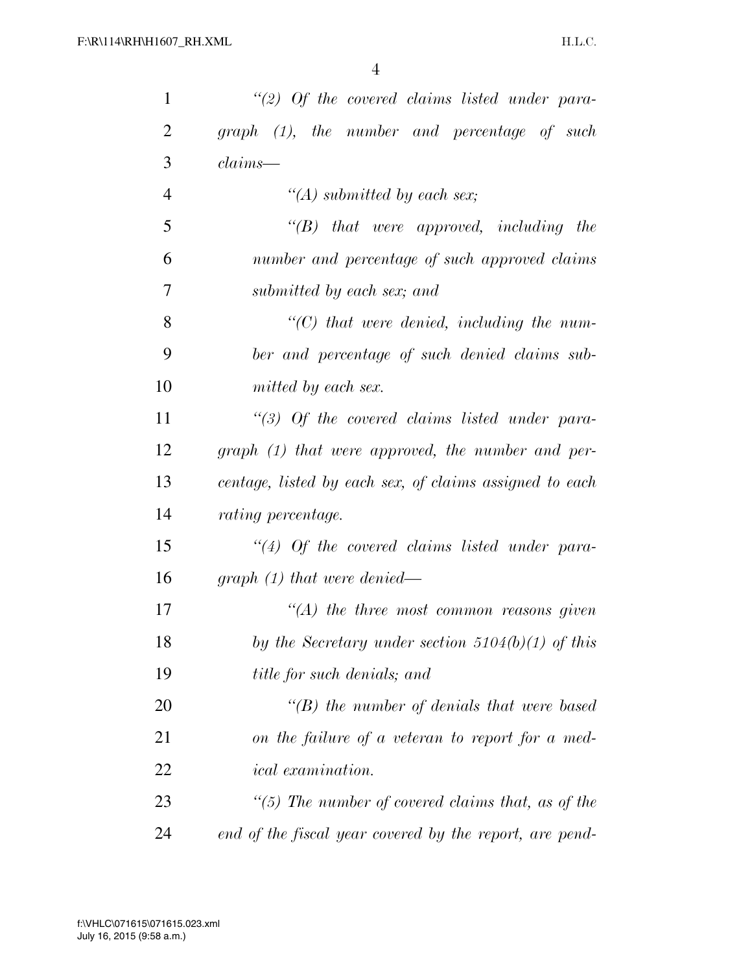| $\mathbf{1}$   | "(2) Of the covered claims listed under para-           |
|----------------|---------------------------------------------------------|
| 2              | graph (1), the number and percentage of such            |
| 3              | $claims$ —                                              |
| $\overline{4}$ | "(A) submitted by each sex;                             |
| 5              | $\lq\lq B$ that were approved, including the            |
| 6              | number and percentage of such approved claims           |
| 7              | submitted by each sex; and                              |
| 8              | $\lq$ (C) that were denied, including the num-          |
| 9              | ber and percentage of such denied claims sub-           |
| 10             | mitted by each sex.                                     |
| 11             | $\lq(3)$ Of the covered claims listed under para-       |
| 12             | graph (1) that were approved, the number and per-       |
| 13             | centage, listed by each sex, of claims assigned to each |
| 14             | <i>rating percentage.</i>                               |
| 15             | $\lq(4)$ Of the covered claims listed under para-       |
| 16             | graph $(1)$ that were denied—                           |
| 17             | $\lq (A)$ the three most common reasons given           |
| 18             | by the Secretary under section $5104(b)(1)$ of this     |
| 19             | title for such denials; and                             |
| 20             | $\lq\lq(B)$ the number of denials that were based       |
| 21             | on the failure of a veteran to report for a med-        |
| 22             | <i>ical</i> examination.                                |
| 23             | "(5) The number of covered claims that, as of the       |
| 24             | end of the fiscal year covered by the report, are pend- |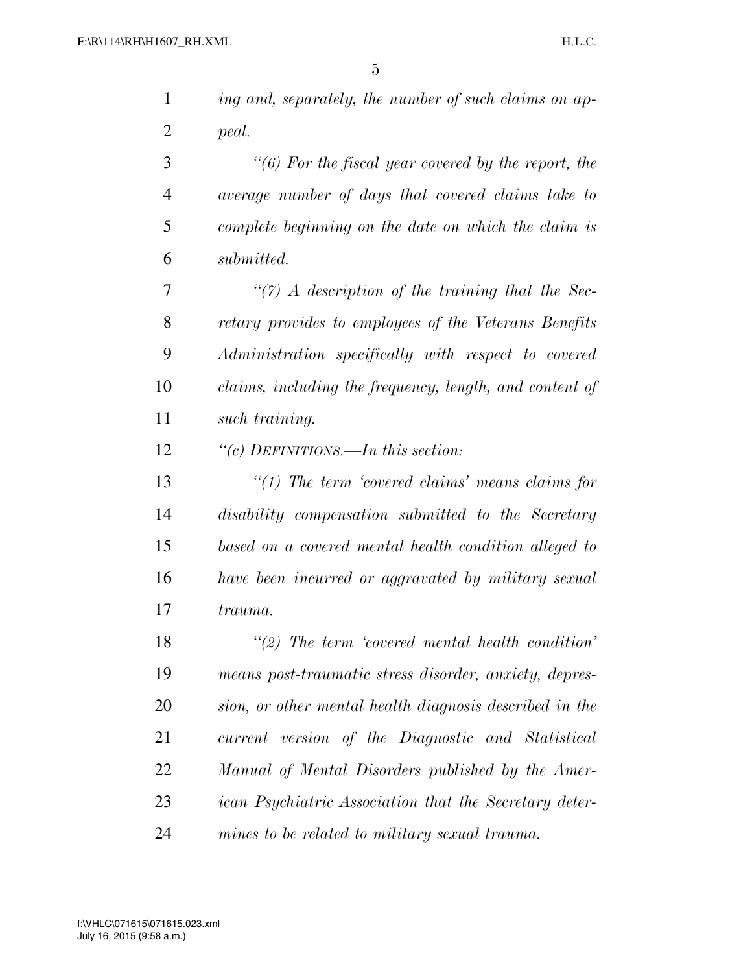| $\mathbf{1}$   | ing and, separately, the number of such claims on ap-      |
|----------------|------------------------------------------------------------|
| $\overline{2}$ | peal.                                                      |
| 3              | $\lq\lq(6)$ For the fiscal year covered by the report, the |
| $\overline{4}$ | average number of days that covered claims take to         |
| 5              | complete beginning on the date on which the claim is       |
| 6              | submitted.                                                 |
| 7              | $\lq(7)$ A description of the training that the Sec-       |
| 8              | retary provides to employees of the Veterans Benefits      |
| 9              | Administration specifically with respect to covered        |
| 10             | claims, including the frequency, length, and content of    |
| 11             | such training.                                             |
| 12             | "(c) DEFINITIONS.—In this section:                         |
| 13             | $\lq(1)$ The term 'covered claims' means claims for        |
| 14             | disability compensation submitted to the Secretary         |
| 15             | based on a covered mental health condition alleged to      |
| 16             | have been incurred or aggravated by military sexual        |
| 17             | trauma.                                                    |
| 18             | $\lq(2)$ The term 'covered mental health condition'        |
| 19             | means post-traumatic stress disorder, anxiety, depres-     |
| 20             | sion, or other mental health diagnosis described in the    |
| 21             | current version of the Diagnostic and Statistical          |
| 22             | Manual of Mental Disorders published by the Amer-          |
| 23             | ican Psychiatric Association that the Secretary deter-     |
| 24             | mines to be related to military sexual trauma.             |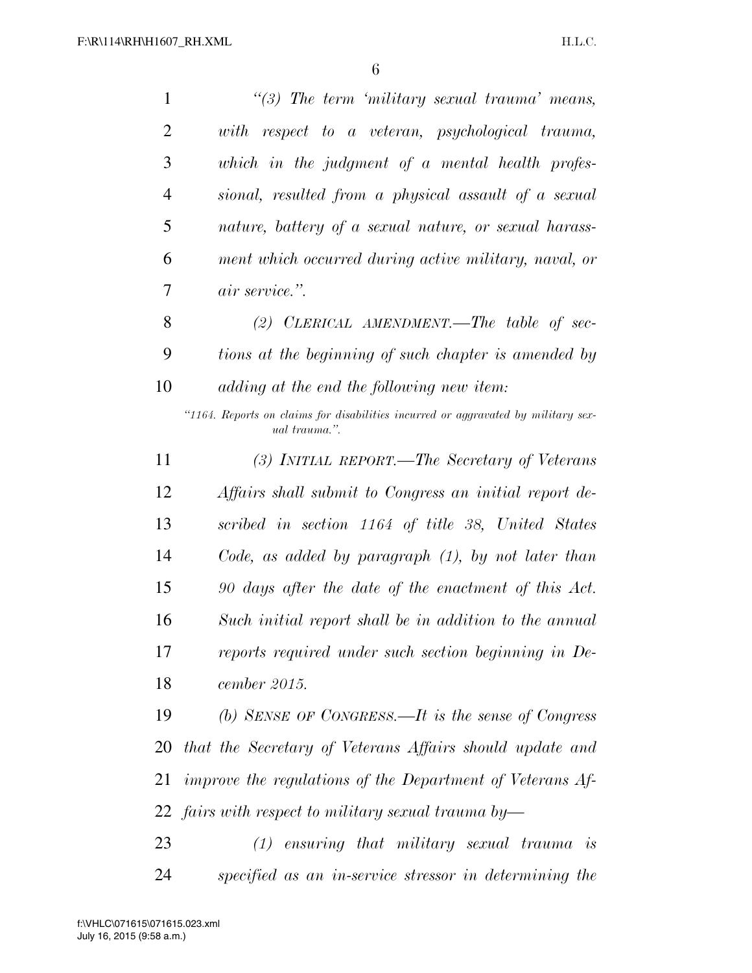| 1              | $\lq(3)$ The term 'military sexual trauma' means,                                                  |
|----------------|----------------------------------------------------------------------------------------------------|
| $\overline{2}$ | with respect to a veteran, psychological trauma,                                                   |
| 3              | which in the judgment of a mental health profes-                                                   |
| $\overline{4}$ | sional, resulted from a physical assault of a sexual                                               |
| 5              | nature, battery of a sexual nature, or sexual harass-                                              |
| 6              | ment which occurred during active military, naval, or                                              |
| 7              | <i>air service.</i> ".                                                                             |
| 8              | (2) CLERICAL AMENDMENT.—The table of sec-                                                          |
| 9              | tions at the beginning of such chapter is amended by                                               |
| 10             | adding at the end the following new item:                                                          |
|                | "1164. Reports on claims for disabilities incurred or aggravated by military sex-<br>ual trauma.". |
| 11             | (3) INITIAL REPORT.—The Secretary of Veterans                                                      |
| 12             | Affairs shall submit to Congress an initial report de-                                             |
| 13             | scribed in section 1164 of title 38, United States                                                 |
| 14             | Code, as added by paragraph $(1)$ , by not later than                                              |
| 15             | 90 days after the date of the enactment of this Act.                                               |
| 16             | Such initial report shall be in addition to the annual                                             |
| 17             | reports required under such section beginning in De-                                               |
| 18             | cember 2015.                                                                                       |
| 19             | (b) SENSE OF CONGRESS.—It is the sense of Congress                                                 |
| 20             | that the Secretary of Veterans Affairs should update and                                           |
| 21             | improve the regulations of the Department of Veterans Af-                                          |
|                | 22 fairs with respect to military sexual trauma by—                                                |
| 23             | $(1)$ ensuring that military sexual trauma is                                                      |
| 24             | specified as an in-service stressor in determining the                                             |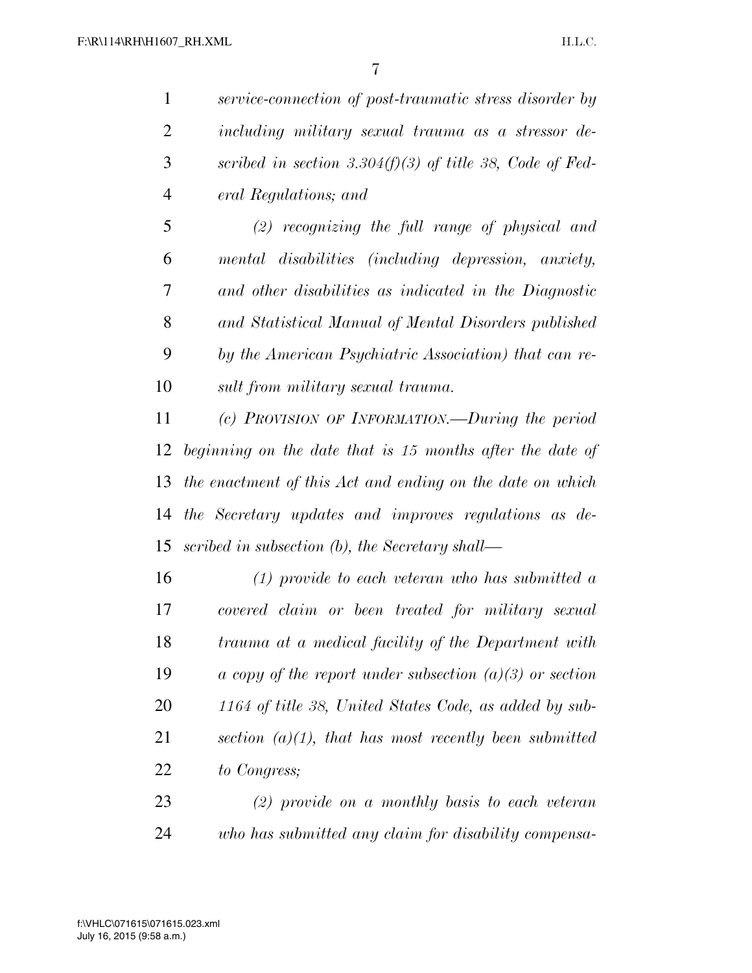*service-connection of post-traumatic stress disorder by including military sexual trauma as a stressor de- scribed in section 3.304(f)(3) of title 38, Code of Fed-eral Regulations; and* 

 *(2) recognizing the full range of physical and mental disabilities (including depression, anxiety, and other disabilities as indicated in the Diagnostic and Statistical Manual of Mental Disorders published by the American Psychiatric Association) that can re-sult from military sexual trauma.* 

 *(c) PROVISION OF INFORMATION.—During the period beginning on the date that is 15 months after the date of the enactment of this Act and ending on the date on which the Secretary updates and improves regulations as de-scribed in subsection (b), the Secretary shall—* 

 *(1) provide to each veteran who has submitted a covered claim or been treated for military sexual trauma at a medical facility of the Department with a copy of the report under subsection (a)(3) or section 1164 of title 38, United States Code, as added by sub- section (a)(1), that has most recently been submitted to Congress;* 

 *(2) provide on a monthly basis to each veteran who has submitted any claim for disability compensa-*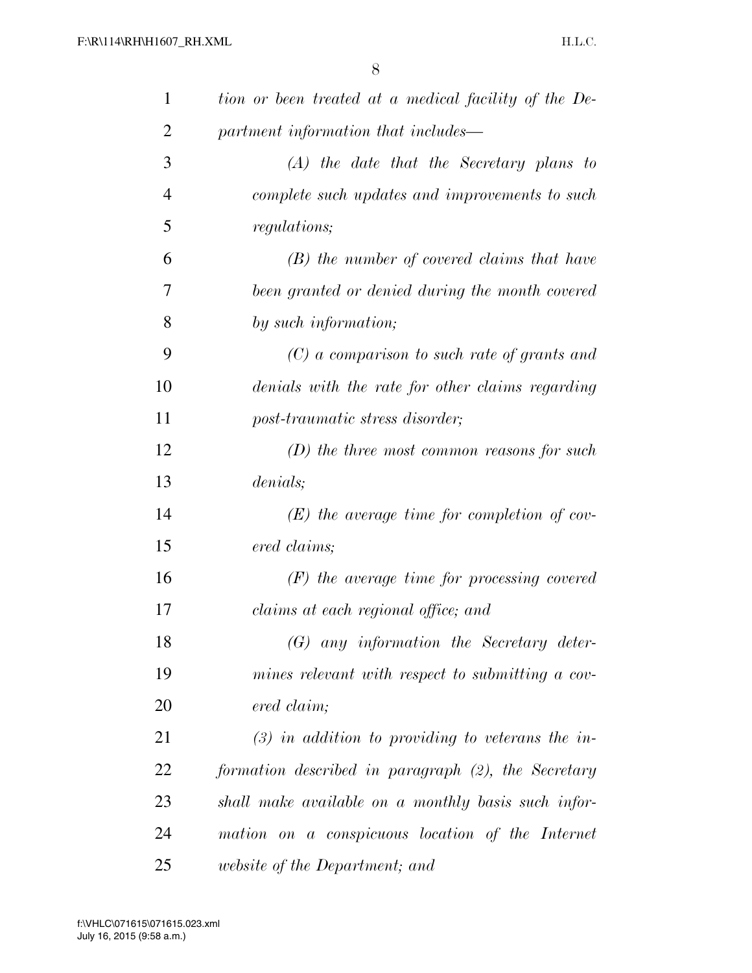| $\mathbf{1}$   | tion or been treated at a medical facility of the De- |
|----------------|-------------------------------------------------------|
| $\overline{c}$ | partment information that includes—                   |
| 3              | $(A)$ the date that the Secretary plans to            |
| $\overline{4}$ | complete such updates and improvements to such        |
| 5              | <i>regulations</i> ;                                  |
| 6              | $(B)$ the number of covered claims that have          |
| 7              | been granted or denied during the month covered       |
| 8              | by such information;                                  |
| 9              | $(C)$ a comparison to such rate of grants and         |
| 10             | denials with the rate for other claims regarding      |
| 11             | post-traumatic stress disorder;                       |
| 12             | $(D)$ the three most common reasons for such          |
| 13             | denials;                                              |
| 14             | $(E)$ the average time for completion of cov-         |
| 15             | ered claims;                                          |
| 16             | $(F)$ the average time for processing covered         |
| 17             | claims at each regional office; and                   |
| 18             | $(G)$ any information the Secretary deter-            |
| 19             | mines relevant with respect to submitting a cov-      |
| 20             | ered claim;                                           |
| 21             | $(3)$ in addition to providing to veterans the in-    |
| 22             | formation described in paragraph (2), the Secretary   |
| 23             | shall make available on a monthly basis such infor-   |
| 24             | mation on a conspicuous location of the Internet      |
| 25             | <i>website of the Department; and</i>                 |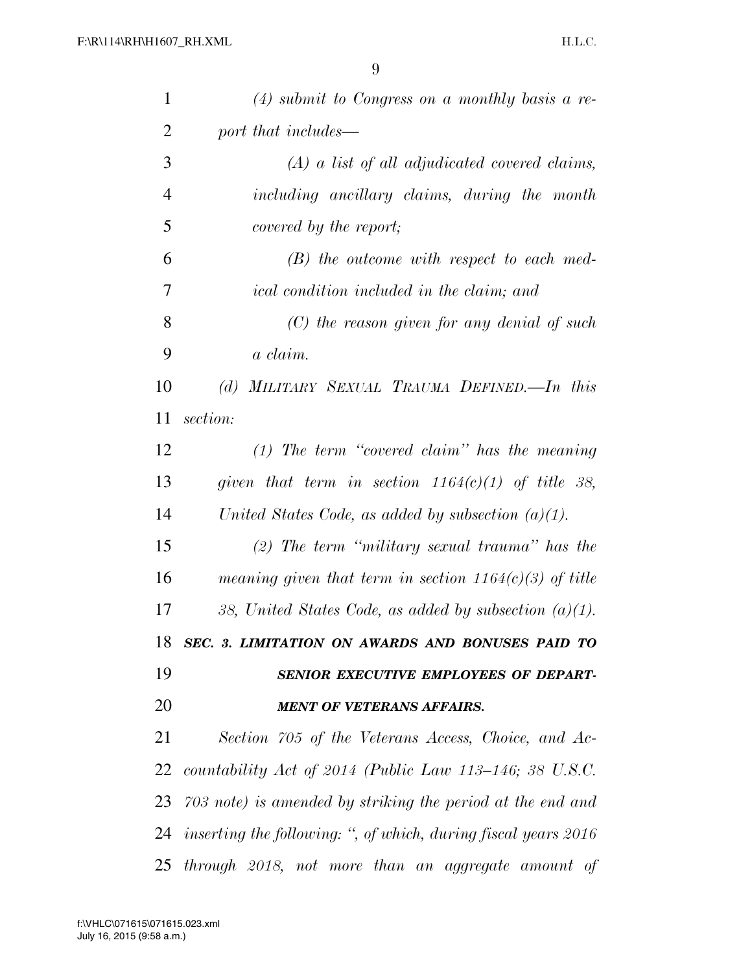| $\mathbf{1}$   | $(4)$ submit to Congress on a monthly basis a re-                 |
|----------------|-------------------------------------------------------------------|
| 2              | port that includes—                                               |
| 3              | $(A)$ a list of all adjudicated covered claims,                   |
| $\overline{4}$ | including ancillary claims, during the month                      |
| 5              | covered by the report;                                            |
| 6              | $(B)$ the outcome with respect to each med-                       |
| 7              | <i>ical condition included in the claim; and</i>                  |
| 8              | $(C)$ the reason given for any denial of such                     |
| 9              | a claim.                                                          |
| 10             | MILITARY SEXUAL TRAUMA DEFINED. In this<br>(d)                    |
| 11             | section:                                                          |
| 12             | $(1)$ The term "covered claim" has the meaning                    |
| 13             | given that term in section $1164(c)(1)$ of title 38,              |
| 14             | United States Code, as added by subsection $(a)(1)$ .             |
| 15             | $(2)$ The term "military sexual trauma" has the                   |
| 16             | meaning given that term in section $1164(c)(3)$ of title          |
| 17             | 38, United States Code, as added by subsection $(a)(1)$ .         |
|                | 18 SEC. 3. LIMITATION ON AWARDS AND BONUSES PAID TO               |
| 19             | SENIOR EXECUTIVE EMPLOYEES OF DEPART-                             |
| 20             | <b>MENT OF VETERANS AFFAIRS.</b>                                  |
| 21             | Section 705 of the Veterans Access, Choice, and Ac-               |
|                | 22 countability Act of 2014 (Public Law 113–146; 38 U.S.C.        |
|                | 23 703 note) is amended by striking the period at the end and     |
|                | 24 inserting the following: ", of which, during fiscal years 2016 |
| 25             | through 2018, not more than an aggregate amount of                |